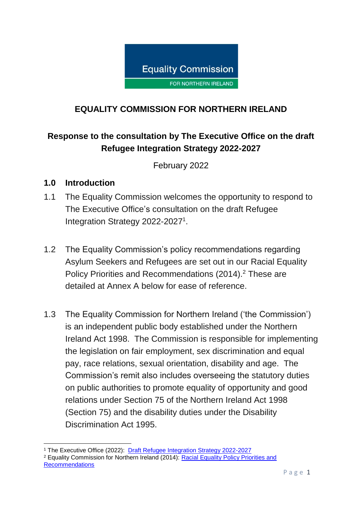

## **EQUALITY COMMISSION FOR NORTHERN IRELAND**

## **Response to the consultation by The Executive Office on the draft Refugee Integration Strategy 2022-2027**

February 2022

#### **1.0 Introduction**

- 1.1 The Equality Commission welcomes the opportunity to respond to The Executive Office's consultation on the draft Refugee Integration Strategy 2022-2027<sup>1</sup>.
- 1.2 The Equality Commission's policy recommendations regarding Asylum Seekers and Refugees are set out in our Racial Equality Policy Priorities and Recommendations (2014).<sup>2</sup> These are detailed at Annex A below for ease of reference.
- 1.3 The Equality Commission for Northern Ireland ('the Commission') is an independent public body established under the Northern Ireland Act 1998. The Commission is responsible for implementing the legislation on fair employment, sex discrimination and equal pay, race relations, sexual orientation, disability and age. The Commission's remit also includes overseeing the statutory duties on public authorities to promote equality of opportunity and good relations under Section 75 of the Northern Ireland Act 1998 (Section 75) and the disability duties under the Disability Discrimination Act 1995.

**<sup>.</sup>** <sup>1</sup> The Executive Office (2022): [Draft Refugee Integration Strategy 2022-2027](https://consultations.nidirect.gov.uk/teo/refugee-integration-strategy-for-northern-ireland/supporting_documents/Refugee%20Integration%20Strategy%20%20full%20Document.pdf) <sup>2</sup> Equality Commission for Northern Ireland (2014): [Racial Equality Policy Priorities and](https://www.equalityni.org/ECNI/media/ECNI/Publications/Delivering%20Equality/RacialEquality_PolicyPosition2014.pdf)  [Recommendations](https://www.equalityni.org/ECNI/media/ECNI/Publications/Delivering%20Equality/RacialEquality_PolicyPosition2014.pdf)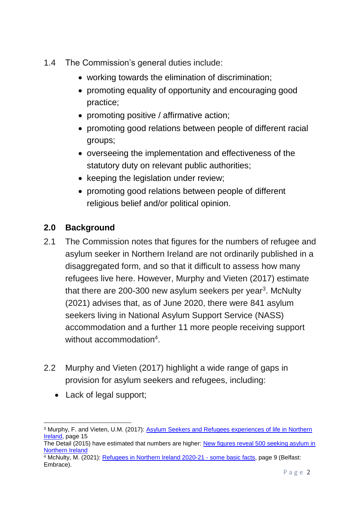- 1.4 The Commission's general duties include:
	- working towards the elimination of discrimination;
	- promoting equality of opportunity and encouraging good practice;
	- promoting positive / affirmative action;
	- promoting good relations between people of different racial groups;
	- overseeing the implementation and effectiveness of the statutory duty on relevant public authorities;
	- keeping the legislation under review;
	- promoting good relations between people of different religious belief and/or political opinion.

## **2.0 Background**

- 2.1 The Commission notes that figures for the numbers of refugee and asylum seeker in Northern Ireland are not ordinarily published in a disaggregated form, and so that it difficult to assess how many refugees live here. However, Murphy and Vieten (2017) estimate that there are 200-300 new asylum seekers per year<sup>3</sup>. McNulty (2021) advises that, as of June 2020, there were 841 asylum seekers living in National Asylum Support Service (NASS) accommodation and a further 11 more people receiving support without accommodation<sup>4</sup>.
- 2.2 Murphy and Vieten (2017) highlight a wide range of gaps in provision for asylum seekers and refugees, including:
	- Lack of legal support;

<sup>3</sup> Murphy, F. and Vieten, U.M. (2017): [Asylum Seekers and Refugees experiences of life in Northern](https://www.qub.ac.uk/home/media/Media,784971,en.pdf)  [Ireland,](https://www.qub.ac.uk/home/media/Media,784971,en.pdf) page 15 The Detail (2015) have estimated that numbers are higher: [New figures reveal 500 seeking asylum in](https://www.thedetail.tv/articles/500-seeking-aslyum-in-northern-ireland)  [Northern Ireland](https://www.thedetail.tv/articles/500-seeking-aslyum-in-northern-ireland) <sup>4</sup> McNulty, M. (2021): [Refugees in Northern Ireland 2020-21 -](https://www.embraceni.org/wp-content/uploads/2021/06/Refugees-in-N-I-EMBRACE-20%E2%80%9321-Final-version.pdf) some basic facts, page 9 (Belfast: Embrace).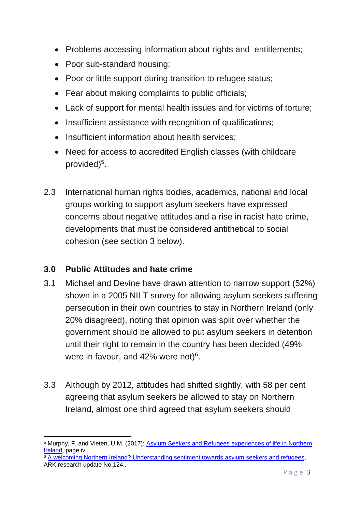- Problems accessing information about rights and entitlements;
- Poor sub-standard housing;
- Poor or little support during transition to refugee status;
- Fear about making complaints to public officials;
- Lack of support for mental health issues and for victims of torture;
- Insufficient assistance with recognition of qualifications;
- Insufficient information about health services:
- Need for access to accredited English classes (with childcare provided)<sup>5</sup>.
- 2.3 International human rights bodies, academics, national and local groups working to support asylum seekers have expressed concerns about negative attitudes and a rise in racist hate crime, developments that must be considered antithetical to social cohesion (see section 3 below).

## **3.0 Public Attitudes and hate crime**

- 3.1 Michael and Devine have drawn attention to narrow support (52%) shown in a 2005 NILT survey for allowing asylum seekers suffering persecution in their own countries to stay in Northern Ireland (only 20% disagreed), noting that opinion was split over whether the government should be allowed to put asylum seekers in detention until their right to remain in the country has been decided (49% were in favour, and 42% were not) $6$ .
- 3.3 Although by 2012, attitudes had shifted slightly, with 58 per cent agreeing that asylum seekers be allowed to stay on Northern Ireland, almost one third agreed that asylum seekers should

<sup>1</sup> <sup>5</sup> Murphy, F. and Vieten, U.M. (2017): [Asylum Seekers and Refugees experiences of life in Northern](https://www.qub.ac.uk/home/media/Media,784971,en.pdf)  [Ireland,](https://www.qub.ac.uk/home/media/Media,784971,en.pdf) page iv.

<sup>6</sup> [A welcoming Northern Ireland? Understanding sentiment towards asylum](https://www.ark.ac.uk/ARK/sites/default/files/2018-11/update124.pdf) seekers and refugees, ARK research update No.124..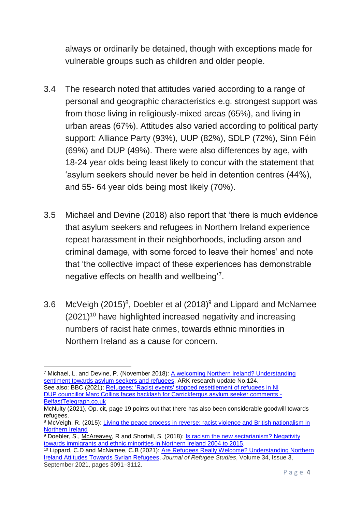always or ordinarily be detained, though with exceptions made for vulnerable groups such as children and older people.

- 3.4 The research noted that attitudes varied according to a range of personal and geographic characteristics e.g. strongest support was from those living in religiously-mixed areas (65%), and living in urban areas (67%). Attitudes also varied according to political party support: Alliance Party (93%), UUP (82%), SDLP (72%), Sinn Féin (69%) and DUP (49%). There were also differences by age, with 18-24 year olds being least likely to concur with the statement that 'asylum seekers should never be held in detention centres (44%), and 55- 64 year olds being most likely (70%).
- 3.5 Michael and Devine (2018) also report that 'there is much evidence that asylum seekers and refugees in Northern Ireland experience repeat harassment in their neighborhoods, including arson and criminal damage, with some forced to leave their homes' and note that 'the collective impact of these experiences has demonstrable negative effects on health and wellbeing<sup>'7</sup>.
- 3.6 McVeigh (2015)<sup>8</sup>, Doebler et al (2018)<sup>9</sup> and Lippard and McNamee  $(2021)^{10}$  have highlighted increased negativity and increasing numbers of racist hate crimes, towards ethnic minorities in Northern Ireland as a cause for concern.

 $\overline{a}$ 

<sup>7</sup> Michael, L. and Devine, P. (November 2018): [A welcoming Northern Ireland? Understanding](https://www.ark.ac.uk/ARK/sites/default/files/2018-11/update124.pdf)  [sentiment towards asylum](https://www.ark.ac.uk/ARK/sites/default/files/2018-11/update124.pdf) seekers and refugees, ARK research update No.124. See also: BBC (2021): [Refugees: 'Racist events' stopped resettlement of refugees in NI](https://www.bbc.co.uk/news/uk-northern-ireland-59654654) [DUP councillor Marc Collins faces backlash for Carrickfergus asylum seeker comments -](https://www.belfasttelegraph.co.uk/news/northern-ireland/dup-councillor-marc-collins-faces-backlash-for-carrickfergus-asylum-seeker-comments-40679142.html)

[BelfastTelegraph.co.uk](https://www.belfasttelegraph.co.uk/news/northern-ireland/dup-councillor-marc-collins-faces-backlash-for-carrickfergus-asylum-seeker-comments-40679142.html)

McNulty (2021), Op. cit, page 19 points out that there has also been considerable goodwill towards refugees.

<sup>8</sup> McVeigh. R. (2015): Living the peace process in reverse: racist violence and British nationalism in [Northern Ireland](https://irr.org.uk/article/racist-violence-and-british-nationalism-in-northern-ireland/)

 $9$  Doebler, S., [McAreavey,](https://scholar.google.com/citations?user=tgV3PNsAAAAJ&hl=en&oi=sra) R and Shortall, S. (2018): Is racism the new sectarianism? Negativity [towards immigrants and ethnic minorities in Northern Ireland 2004 to 2015,](https://www.tandfonline.com/doi/full/10.1080/01419870.2017.1392027)

<sup>10</sup> Lippard, C.D and McNamee, C.B (2021): [Are Refugees Really Welcome? Understanding Northern](https://academic.oup.com/jrs/article/34/3/3091/6154339)  [Ireland Attitudes Towards Syrian Refugees,](https://academic.oup.com/jrs/article/34/3/3091/6154339) *Journal of Refugee Studies*, Volume 34, Issue 3, September 2021, pages 3091–3112.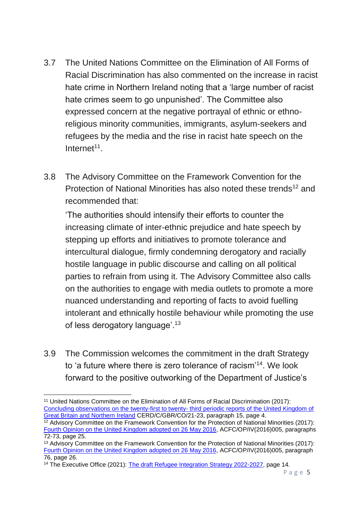- 3.7 The United Nations Committee on the Elimination of All Forms of Racial Discrimination has also commented on the increase in racist hate crime in Northern Ireland noting that a 'large number of racist hate crimes seem to go unpunished'. The Committee also expressed concern at the negative portrayal of ethnic or ethnoreligious minority communities, immigrants, asylum-seekers and refugees by the media and the rise in racist hate speech on the Internet<sup>11</sup>.
- 3.8 The Advisory Committee on the Framework Convention for the Protection of National Minorities has also noted these trends<sup>12</sup> and recommended that:

'The authorities should intensify their efforts to counter the increasing climate of inter-ethnic prejudice and hate speech by stepping up efforts and initiatives to promote tolerance and intercultural dialogue, firmly condemning derogatory and racially hostile language in public discourse and calling on all political parties to refrain from using it. The Advisory Committee also calls on the authorities to engage with media outlets to promote a more nuanced understanding and reporting of facts to avoid fuelling intolerant and ethnically hostile behaviour while promoting the use of less derogatory language'.<sup>13</sup>

3.9 The Commission welcomes the commitment in the draft Strategy to 'a future where there is zero tolerance of racism'<sup>14</sup>. We look forward to the positive outworking of the Department of Justice's

**<sup>.</sup>** <sup>11</sup> United Nations Committee on the Elimination of All Forms of Racial Discrimination (2017): [Concluding observations on the twenty-first to twenty-](https://tbinternet.ohchr.org/_layouts/15/treatybodyexternal/Download.aspx?symbolno=CERD%2fC%2fGBR%2fCO%2f21-23&Lang=en) third periodic reports of the United Kingdom of [Great Britain and Northern Ireland](https://tbinternet.ohchr.org/_layouts/15/treatybodyexternal/Download.aspx?symbolno=CERD%2fC%2fGBR%2fCO%2f21-23&Lang=en) CERD/C/GBR/CO/21-23, paragraph 15, page 4.

 $12$  Advisory Committee on the Framework Convention for the Protection of National Minorities (2017): [Fourth Opinion on the United Kingdom adopted on 26 May 2016,](https://rm.coe.int/16806fb9ab) ACFC/OP/IV(2016)005, paragraphs 72-73, page 25.

<sup>&</sup>lt;sup>13</sup> Advisory Committee on the Framework Convention for the Protection of National Minorities (2017): [Fourth Opinion on the United Kingdom adopted on 26 May 2016,](https://rm.coe.int/16806fb9ab) ACFC/OP/IV(2016)005, paragraph 76, page 26.

<sup>14</sup> The Executive Office (2021): [The draft Refugee Integration Strategy 2022-2027,](https://consultations.nidirect.gov.uk/teo/refugee-integration-strategy-for-northern-ireland/supporting_documents/Refugee%20Integration%20Strategy%20%20full%20Document.pdf) page 14.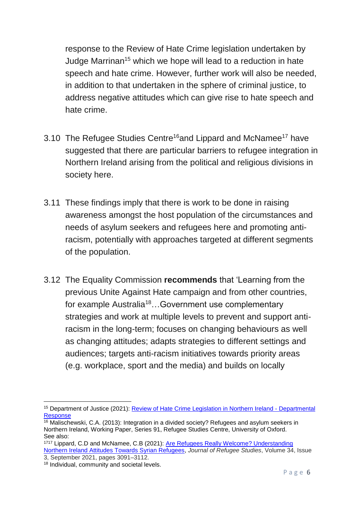response to the Review of Hate Crime legislation undertaken by Judge Marrinan<sup>15</sup> which we hope will lead to a reduction in hate speech and hate crime. However, further work will also be needed, in addition to that undertaken in the sphere of criminal justice, to address negative attitudes which can give rise to hate speech and hate crime.

- 3.10 The Refugee Studies Centre<sup>16</sup>and Lippard and McNamee<sup>17</sup> have suggested that there are particular barriers to refugee integration in Northern Ireland arising from the political and religious divisions in society here.
- 3.11 These findings imply that there is work to be done in raising awareness amongst the host population of the circumstances and needs of asylum seekers and refugees here and promoting antiracism, potentially with approaches targeted at different segments of the population.
- 3.12 The Equality Commission **recommends** that 'Learning from the previous Unite Against Hate campaign and from other countries, for example Australia<sup>18</sup>...Government use complementary strategies and work at multiple levels to prevent and support antiracism in the long-term; focuses on changing behaviours as well as changing attitudes; adapts strategies to different settings and audiences; targets anti-racism initiatives towards priority areas (e.g. workplace, sport and the media) and builds on locally

<sup>&</sup>lt;sup>15</sup> Department of Justice (2021): **Review of Hate Crime Legislation in Northern Ireland - Departmental** [Response](https://www.justice-ni.gov.uk/sites/default/files/publications/justice/review-of-hate-crime-legislation-doj-response.pdf)

 $16$  Malischewski, C.A. (2013): Integration in a divided society? Refugees and asylum seekers in Northern Ireland, Working Paper, Series 91, Refugee Studies Centre, University of Oxford. See also:

<sup>1717</sup> Lippard, C.D and McNamee, C.B (2021): [Are Refugees Really Welcome? Understanding](https://academic.oup.com/jrs/article/34/3/3091/6154339)  [Northern Ireland Attitudes Towards Syrian Refugees,](https://academic.oup.com/jrs/article/34/3/3091/6154339) *Journal of Refugee Studies*, Volume 34, Issue 3, September 2021, pages 3091–3112.

<sup>&</sup>lt;sup>18</sup> Individual, community and societal levels.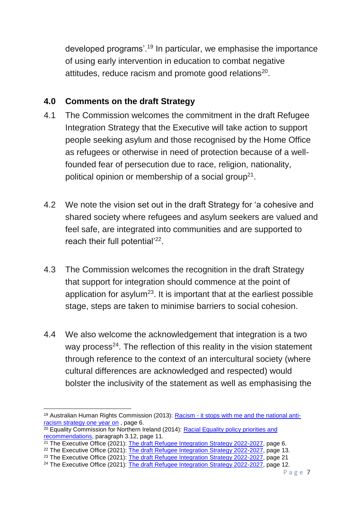developed programs'.<sup>19</sup> In particular, we emphasise the importance of using early intervention in education to combat negative attitudes, reduce racism and promote good relations<sup>20</sup>.

#### **4.0 Comments on the draft Strategy**

- 4.1 The Commission welcomes the commitment in the draft Refugee Integration Strategy that the Executive will take action to support people seeking asylum and those recognised by the Home Office as refugees or otherwise in need of protection because of a wellfounded fear of persecution due to race, religion, nationality, political opinion or membership of a social group<sup>21</sup>.
- 4.2 We note the vision set out in the draft Strategy for 'a cohesive and shared society where refugees and asylum seekers are valued and feel safe, are integrated into communities and are supported to reach their full potential'<sup>22</sup>.
- 4.3 The Commission welcomes the recognition in the draft Strategy that support for integration should commence at the point of application for asylum<sup>23</sup>. It is important that at the earliest possible stage, steps are taken to minimise barriers to social cohesion.
- 4.4 We also welcome the acknowledgement that integration is a two way process $24$ . The reflection of this reality in the vision statement through reference to the context of an intercultural society (where cultural differences are acknowledged and respected) would bolster the inclusivity of the statement as well as emphasising the

 $20$  Equality Commission for Northern Ireland (2014): Racial Equality policy priorities and [recommendations,](https://www.equalityni.org/ECNI/media/ECNI/Publications/Delivering%20Equality/RacialEquality_PolicyPosition2014.pdf) paragraph 3.12, page 11.

<sup>23</sup> The Executive Office (2021): [The draft Refugee Integration Strategy 2022-2027,](https://consultations.nidirect.gov.uk/teo/refugee-integration-strategy-for-northern-ireland/supporting_documents/Refugee%20Integration%20Strategy%20%20full%20Document.pdf) page 21

**<sup>.</sup>** <sup>19</sup> Australian Human Rights Commission (2013): Racism - [it stops with me and the national anti](https://humanrights.gov.au/our-work/race-discrimination/publications/racism-it-stops-me-and-national-anti-racism-strategy-one)racism [strategy one year on](https://humanrights.gov.au/our-work/race-discrimination/publications/racism-it-stops-me-and-national-anti-racism-strategy-one) , page 6.

<sup>&</sup>lt;sup>21</sup> The Executive Office (2021): [The draft Refugee Integration Strategy 2022-2027,](https://consultations.nidirect.gov.uk/teo/refugee-integration-strategy-for-northern-ireland/supporting_documents/Refugee%20Integration%20Strategy%20%20full%20Document.pdf) page 6.

<sup>&</sup>lt;sup>22</sup> The Executive Office (2021): [The draft Refugee Integration Strategy 2022-2027,](https://consultations.nidirect.gov.uk/teo/refugee-integration-strategy-for-northern-ireland/supporting_documents/Refugee%20Integration%20Strategy%20%20full%20Document.pdf) page 13.

<sup>&</sup>lt;sup>24</sup> The Executive Office (2021): [The draft Refugee Integration Strategy 2022-2027,](https://consultations.nidirect.gov.uk/teo/refugee-integration-strategy-for-northern-ireland/supporting_documents/Refugee%20Integration%20Strategy%20%20full%20Document.pdf) page 12.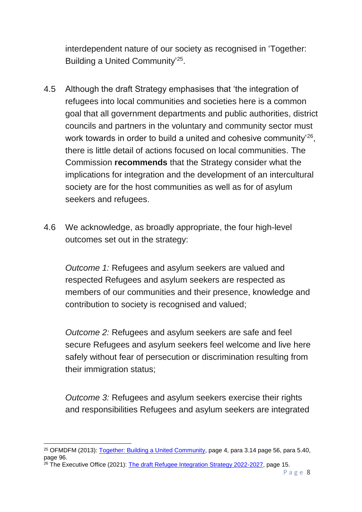interdependent nature of our society as recognised in 'Together: Building a United Community<sup>'25</sup>.

- 4.5 Although the draft Strategy emphasises that 'the integration of refugees into local communities and societies here is a common goal that all government departments and public authorities, district councils and partners in the voluntary and community sector must work towards in order to build a united and cohesive community<sup>'26</sup>, there is little detail of actions focused on local communities. The Commission **recommends** that the Strategy consider what the implications for integration and the development of an intercultural society are for the host communities as well as for of asylum seekers and refugees.
- 4.6 We acknowledge, as broadly appropriate, the four high-level outcomes set out in the strategy:

*Outcome 1:* Refugees and asylum seekers are valued and respected Refugees and asylum seekers are respected as members of our communities and their presence, knowledge and contribution to society is recognised and valued;

*Outcome 2:* Refugees and asylum seekers are safe and feel secure Refugees and asylum seekers feel welcome and live here safely without fear of persecution or discrimination resulting from their immigration status;

*Outcome 3:* Refugees and asylum seekers exercise their rights and responsibilities Refugees and asylum seekers are integrated

<sup>&</sup>lt;sup>25</sup> OFMDFM (2013): [Together: Building a United Community,](https://www.executiveoffice-ni.gov.uk/sites/default/files/publications/ofmdfm_dev/together-building-a-united-community-strategy.pdf) page 4, para 3.14 page 56, para 5.40, page 96.

<sup>26</sup> The Executive Office (2021): [The draft Refugee Integration Strategy 2022-2027,](https://consultations.nidirect.gov.uk/teo/refugee-integration-strategy-for-northern-ireland/supporting_documents/Refugee%20Integration%20Strategy%20%20full%20Document.pdf) page 15.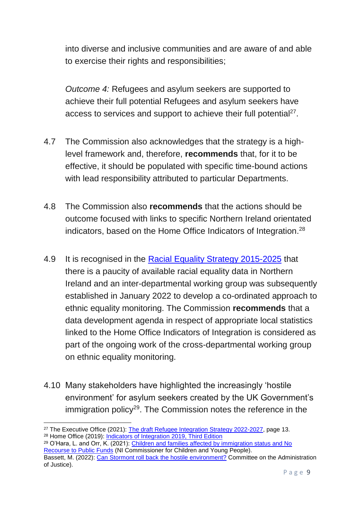into diverse and inclusive communities and are aware of and able to exercise their rights and responsibilities;

*Outcome 4:* Refugees and asylum seekers are supported to achieve their full potential Refugees and asylum seekers have access to services and support to achieve their full potential<sup>27</sup>.

- 4.7 The Commission also acknowledges that the strategy is a highlevel framework and, therefore, **recommends** that, for it to be effective, it should be populated with specific time-bound actions with lead responsibility attributed to particular Departments.
- 4.8 The Commission also **recommends** that the actions should be outcome focused with links to specific Northern Ireland orientated indicators, based on the Home Office Indicators of Integration.<sup>28</sup>
- 4.9 It is recognised in the [Racial Equality Strategy 2015-2025](https://www.executiveoffice-ni.gov.uk/sites/default/files/publications/ofmdfm/racial-equality-strategy-2015-2025.pdf) that there is a paucity of available racial equality data in Northern Ireland and an inter-departmental working group was subsequently established in January 2022 to develop a co-ordinated approach to ethnic equality monitoring. The Commission **recommends** that a data development agenda in respect of appropriate local statistics linked to the Home Office Indicators of Integration is considered as part of the ongoing work of the cross-departmental working group on ethnic equality monitoring.
- 4.10 Many stakeholders have highlighted the increasingly 'hostile environment' for asylum seekers created by the UK Government's immigration policy<sup>29</sup>. The Commission notes the reference in the

**<sup>.</sup>** <sup>27</sup> The Executive Office (2021): [The draft Refugee Integration Strategy 2022-2027,](https://consultations.nidirect.gov.uk/teo/refugee-integration-strategy-for-northern-ireland/supporting_documents/Refugee%20Integration%20Strategy%20%20full%20Document.pdf) page 13. <sup>28</sup> Home Office (2019): [Indicators of Integration](https://assets.publishing.service.gov.uk/government/uploads/system/uploads/attachment_data/file/835573/home-office-indicators-of-integration-framework-2019-horr109.pdf) 2019, Third Edition

<sup>&</sup>lt;sup>29</sup> O'Hara, L. and Orr, K. (2021): Children and families affected by immigration status and No [Recourse to Public Funds](https://www.niccy.org/media/3953/niccy-nrpf-paper-final-7-october-2021.pdf) (NI Commissioner for Children and Young People).

Bassett, M. (2022): [Can Stormont roll back the hostile environment?](https://caj.org.uk/2022/01/26/can-stormont-rollback-the-hostile-environment/) Committee on the Administration of Justice).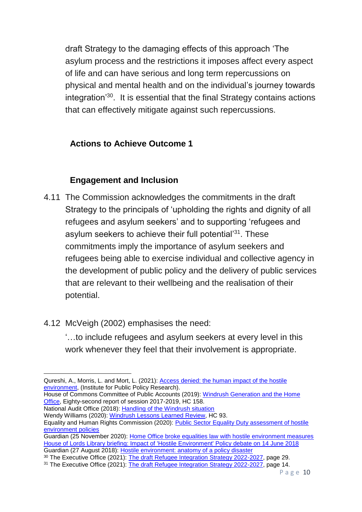draft Strategy to the damaging effects of this approach 'The asylum process and the restrictions it imposes affect every aspect of life and can have serious and long term repercussions on physical and mental health and on the individual's journey towards integration<sup>'30</sup>. It is essential that the final Strategy contains actions that can effectively mitigate against such repercussions.

## **Actions to Achieve Outcome 1**

## **Engagement and Inclusion**

- 4.11 The Commission acknowledges the commitments in the draft Strategy to the principals of 'upholding the rights and dignity of all refugees and asylum seekers' and to supporting 'refugees and asylum seekers to achieve their full potential'<sup>31</sup>. These commitments imply the importance of asylum seekers and refugees being able to exercise individual and collective agency in the development of public policy and the delivery of public services that are relevant to their wellbeing and the realisation of their potential.
- 4.12 McVeigh (2002) emphasises the need:

'…to include refugees and asylum seekers at every level in this work whenever they feel that their involvement is appropriate.

House of Commons Committee of Public Accounts (2019): [Windrush Generation and the Home](https://publications.parliament.uk/pa/cm201719/cmselect/cmpubacc/1518/1518.pdf)  [Office,](https://publications.parliament.uk/pa/cm201719/cmselect/cmpubacc/1518/1518.pdf) Eighty-second report of session 2017-2019, HC 158.

National Audit Office (2018): [Handling of the Windrush situation](https://www.nao.org.uk/wp-content/uploads/2018/12/Handling-of-the-Windrush-situation-1.pdf) Wendy Williams (2020): [Windrush Lessons Learned Review,](https://assets.publishing.service.gov.uk/government/uploads/system/uploads/attachment_data/file/874022/6.5577_HO_Windrush_Lessons_Learned_Review_WEB_v2.pdf) HC 93.

<sup>1</sup> Qureshi, A., Morris, L. and Mort, L. (2021): [Access denied: the human impact of the hostile](https://www.ippr.org/research/publications/access-denied)  [environment,](https://www.ippr.org/research/publications/access-denied) (Institute for Public Policy Research).

Equality and Human Rights Commission (2020): [Public Sector Equality Duty assessment of hostile](https://www.equalityhumanrights.com/sites/default/files/public-sector-equality-duty-assessment-of-hostile-environment-policies.pdf)  [environment policies](https://www.equalityhumanrights.com/sites/default/files/public-sector-equality-duty-assessment-of-hostile-environment-policies.pdf)

Guardian (25 November 2020): [Home Office broke equalities law with hostile environment measures](https://www.theguardian.com/uk-news/2020/nov/25/home-office-broke-equalities-law-with-hostile-environment-measures) [House of Lords Library briefing: Impact of 'Hostile Environment' Policy](https://researchbriefings.files.parliament.uk/documents/LLN-2018-0064/LLN-2018-0064.pdf) debate on 14 June 2018 Guardian (27 August 2018): [Hostile environment: anatomy of a policy disaster](https://www.theguardian.com/uk-news/2018/aug/27/hostile-environment-anatomy-of-a-policy-disaster)

<sup>&</sup>lt;sup>30</sup> The Executive Office (2021): <u>The draft Refugee Integration Strategy 2022-2027</u>, page 29.

<sup>&</sup>lt;sup>31</sup> The Executive Office (2021): [The draft Refugee Integration Strategy 2022-2027,](https://consultations.nidirect.gov.uk/teo/refugee-integration-strategy-for-northern-ireland/supporting_documents/Refugee%20Integration%20Strategy%20%20full%20Document.pdf) page 14.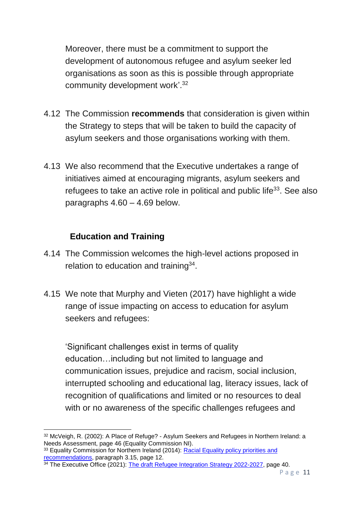Moreover, there must be a commitment to support the development of autonomous refugee and asylum seeker led organisations as soon as this is possible through appropriate community development work'.<sup>32</sup>

- 4.12 The Commission **recommends** that consideration is given within the Strategy to steps that will be taken to build the capacity of asylum seekers and those organisations working with them.
- 4.13 We also recommend that the Executive undertakes a range of initiatives aimed at encouraging migrants, asylum seekers and refugees to take an active role in political and public life<sup>33</sup>. See also paragraphs 4.60 – 4.69 below.

## **Education and Training**

- 4.14 The Commission welcomes the high-level actions proposed in relation to education and training<sup>34</sup>.
- 4.15 We note that Murphy and Vieten (2017) have highlight a wide range of issue impacting on access to education for asylum seekers and refugees:

'Significant challenges exist in terms of quality education…including but not limited to language and communication issues, prejudice and racism, social inclusion, interrupted schooling and educational lag, literacy issues, lack of recognition of qualifications and limited or no resources to deal with or no awareness of the specific challenges refugees and

 $\overline{\phantom{a}}$ <sup>32</sup> McVeigh, R. (2002): A Place of Refuge? - Asylum Seekers and Refugees in Northern Ireland: a Needs Assessment, page 46 (Equality Commission NI).

<sup>&</sup>lt;sup>33</sup> Equality Commission for Northern Ireland (2014): Racial Equality policy priorities and [recommendations,](https://www.equalityni.org/ECNI/media/ECNI/Publications/Delivering%20Equality/RacialEquality_PolicyPosition2014.pdf) paragraph 3.15, page 12.

<sup>&</sup>lt;sup>34</sup> The Executive Office (2021): [The draft Refugee Integration Strategy 2022-2027,](https://consultations.nidirect.gov.uk/teo/refugee-integration-strategy-for-northern-ireland/supporting_documents/Refugee%20Integration%20Strategy%20%20full%20Document.pdf) page 40.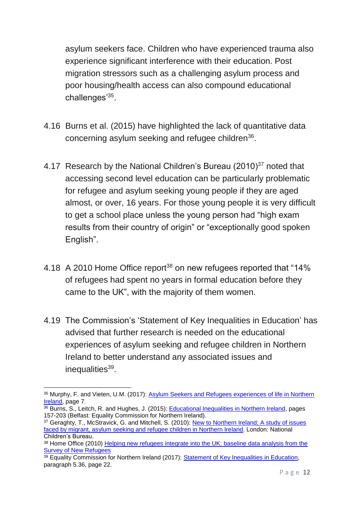asylum seekers face. Children who have experienced trauma also experience significant interference with their education. Post migration stressors such as a challenging asylum process and poor housing/health access can also compound educational challenges'<sup>35</sup>.

- 4.16 Burns et al. (2015) have highlighted the lack of quantitative data concerning asylum seeking and refugee children<sup>36</sup>.
- 4.17 Research by the National Children's Bureau (2010)<sup>37</sup> noted that accessing second level education can be particularly problematic for refugee and asylum seeking young people if they are aged almost, or over, 16 years. For those young people it is very difficult to get a school place unless the young person had "high exam results from their country of origin" or "exceptionally good spoken English".
- 4.18 A 2010 Home Office report<sup>38</sup> on new refugees reported that "14% of refugees had spent no years in formal education before they came to the UK", with the majority of them women.
- 4.19 The Commission's 'Statement of Key Inequalities in Education' has advised that further research is needed on the educational experiences of asylum seeking and refugee children in Northern Ireland to better understand any associated issues and inequalities<sup>39</sup>.

<sup>1</sup> 35 Murphy, F. and Vieten, U.M. (2017): Asylum Seekers and Refugees experiences of life in Northern [Ireland,](https://www.qub.ac.uk/home/media/Media,784971,en.pdf) page 7.

<sup>36</sup> Burns, S., Leitch, R. and Hughes, J. (2015): [Educational Inequalities in Northern Ireland,](https://www.equalityni.org/ECNI/media/ECNI/Publications/Delivering%20Equality/EducationInequality-FullReportQUB.pdf) pages 157-203 (Belfast: Equality Commission for Northern Ireland).

<sup>&</sup>lt;sup>37</sup> Geraghty, T., McStravick, G. and Mitchell, S. (2010): New to Northern Ireland; A study of issues [faced by migrant, asylum seeking and refugee children in Northern Ireland.](https://www.ncb.org.uk/sites/default/files/uploads/files/17%2520ntni_web_final.pdf) London: National Children's Bureau.

<sup>&</sup>lt;sup>38</sup> Home Office (2010) Helping new refugees integrate into the UK: baseline data analysis from the [Survey of New Refugees](https://assets.publishing.service.gov.uk/government/uploads/system/uploads/attachment_data/file/116067/horr36-key-implications.pdf)

<sup>&</sup>lt;sup>39</sup> Equality Commission for Northern Ireland (2017): [Statement of Key Inequalities in Education,](https://www.equalityni.org/ECNI/media/ECNI/Publications/Delivering%20Equality/EducationKeyInequalities-FinalStatement.pdf) paragraph 5.36, page 22.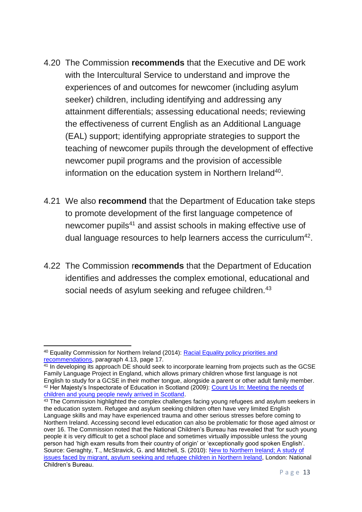- 4.20 The Commission **recommends** that the Executive and DE work with the Intercultural Service to understand and improve the experiences of and outcomes for newcomer (including asylum seeker) children, including identifying and addressing any attainment differentials; assessing educational needs; reviewing the effectiveness of current English as an Additional Language (EAL) support; identifying appropriate strategies to support the teaching of newcomer pupils through the development of effective newcomer pupil programs and the provision of accessible information on the education system in Northern Ireland<sup>40</sup>.
- 4.21 We also **recommend** that the Department of Education take steps to promote development of the first language competence of newcomer pupils<sup>41</sup> and assist schools in making effective use of dual language resources to help learners access the curriculum<sup>42</sup>.
- 4.22 The Commission r**ecommends** that the Department of Education identifies and addresses the complex emotional, educational and social needs of asylum seeking and refugee children.<sup>43</sup>

**<sup>.</sup>** <sup>40</sup> Equality Commission for Northern Ireland (2014): [Racial Equality policy priorities and](https://www.equalityni.org/ECNI/media/ECNI/Publications/Delivering%20Equality/RacialEquality_PolicyPosition2014.pdf)  [recommendations,](https://www.equalityni.org/ECNI/media/ECNI/Publications/Delivering%20Equality/RacialEquality_PolicyPosition2014.pdf) paragraph 4.13, page 17.

<sup>&</sup>lt;sup>41</sup> In developing its approach DE should seek to incorporate learning from projects such as the GCSE Family Language Project in England, which allows primary children whose first language is not English to study for a GCSE in their mother tongue, alongside a parent or other adult family member. <sup>42</sup> Her Majesty's Inspectorate of Education in Scotland (2009): [Count Us In: Meeting the needs of](https://www.naldic.org.uk/Resources/NALDIC/Teaching%20and%20Learning/cuimnnus_tcm4-618947.pdf)  [children and young people newly arrived in Scotland.](https://www.naldic.org.uk/Resources/NALDIC/Teaching%20and%20Learning/cuimnnus_tcm4-618947.pdf)

<sup>&</sup>lt;sup>43</sup> The Commission highlighted the complex challenges facing young refugees and asylum seekers in the education system. Refugee and asylum seeking children often have very limited English Language skills and may have experienced trauma and other serious stresses before coming to Northern Ireland. Accessing second level education can also be problematic for those aged almost or over 16. The Commission noted that the National Children's Bureau has revealed that 'for such young people it is very difficult to get a school place and sometimes virtually impossible unless the young person had 'high exam results from their country of origin' or 'exceptionally good spoken English'. Source: Geraghty, T., McStravick, G. and Mitchell, S. (2010): [New to Northern Ireland; A study of](https://www.ncb.org.uk/sites/default/files/uploads/files/17%2520ntni_web_final.pdf)  [issues faced by migrant, asylum seeking and refugee children in Northern Ireland,](https://www.ncb.org.uk/sites/default/files/uploads/files/17%2520ntni_web_final.pdf) London: National Children's Bureau.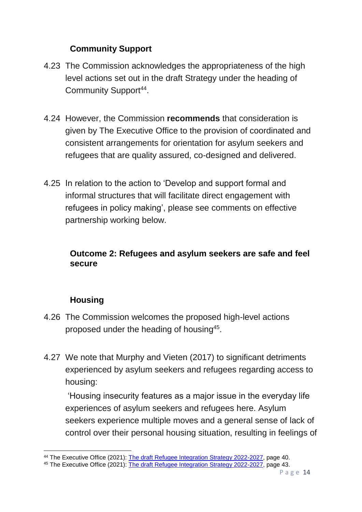## **Community Support**

- 4.23 The Commission acknowledges the appropriateness of the high level actions set out in the draft Strategy under the heading of Community Support<sup>44</sup>.
- 4.24 However, the Commission **recommends** that consideration is given by The Executive Office to the provision of coordinated and consistent arrangements for orientation for asylum seekers and refugees that are quality assured, co-designed and delivered.
- 4.25 In relation to the action to 'Develop and support formal and informal structures that will facilitate direct engagement with refugees in policy making', please see comments on effective partnership working below.

### **Outcome 2: Refugees and asylum seekers are safe and feel secure**

## **Housing**

- 4.26 The Commission welcomes the proposed high-level actions proposed under the heading of housing<sup>45</sup>.
- 4.27 We note that Murphy and Vieten (2017) to significant detriments experienced by asylum seekers and refugees regarding access to housing:

'Housing insecurity features as a major issue in the everyday life experiences of asylum seekers and refugees here. Asylum seekers experience multiple moves and a general sense of lack of control over their personal housing situation, resulting in feelings of

**<sup>.</sup>** <sup>44</sup> The Executive Office (2021): [The draft Refugee Integration Strategy 2022-2027,](https://consultations.nidirect.gov.uk/teo/refugee-integration-strategy-for-northern-ireland/supporting_documents/Refugee%20Integration%20Strategy%20%20full%20Document.pdf) page 40.

<sup>45</sup> The Executive Office (2021): [The draft Refugee Integration Strategy 2022-2027,](https://consultations.nidirect.gov.uk/teo/refugee-integration-strategy-for-northern-ireland/supporting_documents/Refugee%20Integration%20Strategy%20%20full%20Document.pdf) page 43.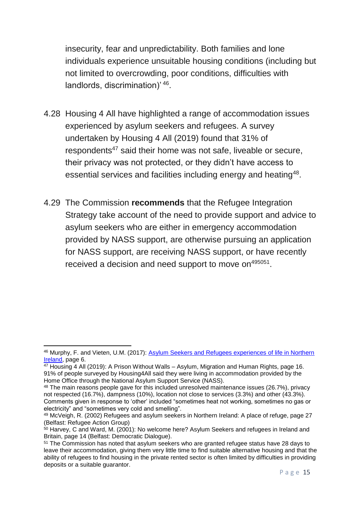insecurity, fear and unpredictability. Both families and lone individuals experience unsuitable housing conditions (including but not limited to overcrowding, poor conditions, difficulties with landlords, discrimination)' 46.

- 4.28 Housing 4 All have highlighted a range of accommodation issues experienced by asylum seekers and refugees. A survey undertaken by Housing 4 All (2019) found that 31% of respondents<sup>47</sup> said their home was not safe, liveable or secure, their privacy was not protected, or they didn't have access to essential services and facilities including energy and heating<sup>48</sup>.
- 4.29 The Commission **recommends** that the Refugee Integration Strategy take account of the need to provide support and advice to asylum seekers who are either in emergency accommodation provided by NASS support, are otherwise pursuing an application for NASS support, are receiving NASS support, or have recently received a decision and need support to move on<sup>495051</sup>.

**<sup>.</sup>** <sup>46</sup> Murphy, F. and Vieten, U.M. (2017): [Asylum Seekers and Refugees experiences of life in Northern](https://www.qub.ac.uk/home/media/Media,784971,en.pdf)  [Ireland,](https://www.qub.ac.uk/home/media/Media,784971,en.pdf) page 6.

<sup>47</sup> Housing 4 All (2019): A Prison Without Walls – Asylum, Migration and Human Rights, page 16. 91% of people surveyed by Housing4All said they were living in accommodation provided by the Home Office through the National Asylum Support Service (NASS).

<sup>48</sup> The main reasons people gave for this included unresolved maintenance issues (26.7%), privacy not respected (16.7%), dampness (10%), location not close to services (3.3%) and other (43.3%). Comments given in response to 'other' included "sometimes heat not working, sometimes no gas or electricity" and "sometimes very cold and smelling".

<sup>49</sup> McVeigh, R. (2002) Refugees and asylum seekers in Northern Ireland: A place of refuge, page 27 (Belfast: Refugee Action Group)

 $50$  Harvey, C and Ward, M. (2001): No welcome here? Asylum Seekers and refugees in Ireland and Britain, page 14 (Belfast: Democratic Dialogue).

<sup>51</sup> The Commission has noted that asylum seekers who are granted refugee status have 28 days to leave their accommodation, giving them very little time to find suitable alternative housing and that the ability of refugees to find housing in the private rented sector is often limited by difficulties in providing deposits or a suitable guarantor.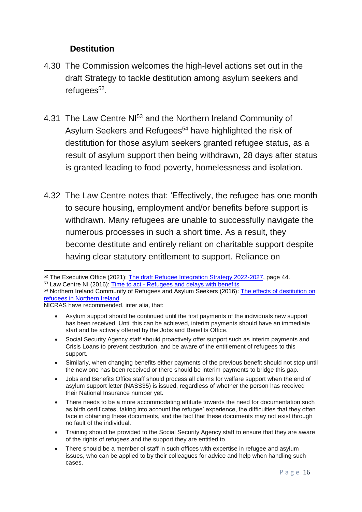### **Destitution**

- 4.30 The Commission welcomes the high-level actions set out in the draft Strategy to tackle destitution among asylum seekers and refugees<sup>52</sup>.
- 4.31 The Law Centre NI<sup>53</sup> and the Northern Ireland Community of Asylum Seekers and Refugees<sup>54</sup> have highlighted the risk of destitution for those asylum seekers granted refugee status, as a result of asylum support then being withdrawn, 28 days after status is granted leading to food poverty, homelessness and isolation.
- 4.32 The Law Centre notes that: 'Effectively, the refugee has one month to secure housing, employment and/or benefits before support is withdrawn. Many refugees are unable to successfully navigate the numerous processes in such a short time. As a result, they become destitute and entirely reliant on charitable support despite having clear statutory entitlement to support. Reliance on

NICRAS have recommended, inter alia, that:

- Social Security Agency staff should proactively offer support such as interim payments and Crisis Loans to prevent destitution, and be aware of the entitlement of refugees to this support.
- Similarly, when changing benefits either payments of the previous benefit should not stop until the new one has been received or there should be interim payments to bridge this gap.
- Jobs and Benefits Office staff should process all claims for welfare support when the end of asylum support letter (NASS35) is issued, regardless of whether the person has received their National Insurance number yet.
- There needs to be a more accommodating attitude towards the need for documentation such as birth certificates, taking into account the refugee' experience, the difficulties that they often face in obtaining these documents, and the fact that these documents may not exist through no fault of the individual.
- Training should be provided to the Social Security Agency staff to ensure that they are aware of the rights of refugees and the support they are entitled to.
- There should be a member of staff in such offices with expertise in refugee and asylum issues, who can be applied to by their colleagues for advice and help when handling such cases.

**<sup>.</sup>** <sup>52</sup> The Executive Office (2021): [The draft Refugee Integration Strategy 2022-2027,](https://consultations.nidirect.gov.uk/teo/refugee-integration-strategy-for-northern-ireland/supporting_documents/Refugee%20Integration%20Strategy%20%20full%20Document.pdf) page 44. <sup>53</sup> Law Centre NI (2016): Time to act - [Refugees and delays with benefits](https://lawcentreni.s3.amazonaws.com/BRIEFING2016_Refugees-and-delays-with-benefits-May-2016-369329581.pdf)

<sup>54</sup> Northern Ireland Community of Refugees and Asylum Seekers (2016): The effects of destitution on [refugees in Northern Ireland](https://naccom.org.uk/wp-content/uploads/2011/08/The-Effect-of-Destitution-on-Refugees-in-NI-NICRAS.pdf)

Asylum support should be continued until the first payments of the individuals new support has been received. Until this can be achieved, interim payments should have an immediate start and be actively offered by the Jobs and Benefits Office.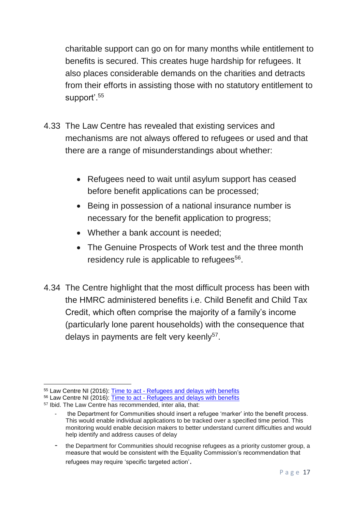charitable support can go on for many months while entitlement to benefits is secured. This creates huge hardship for refugees. It also places considerable demands on the charities and detracts from their efforts in assisting those with no statutory entitlement to support'.<sup>55</sup>

- 4.33 The Law Centre has revealed that existing services and mechanisms are not always offered to refugees or used and that there are a range of misunderstandings about whether:
	- Refugees need to wait until asylum support has ceased before benefit applications can be processed;
	- Being in possession of a national insurance number is necessary for the benefit application to progress;
	- Whether a bank account is needed;
	- The Genuine Prospects of Work test and the three month residency rule is applicable to refugees<sup>56</sup>.
- 4.34 The Centre highlight that the most difficult process has been with the HMRC administered benefits i.e. Child Benefit and Child Tax Credit, which often comprise the majority of a family's income (particularly lone parent households) with the consequence that delays in payments are felt very keenly<sup>57</sup>.

**<sup>.</sup>** <sup>55</sup> Law Centre NI (2016): Time to act - [Refugees and delays with benefits](https://lawcentreni.s3.amazonaws.com/BRIEFING2016_Refugees-and-delays-with-benefits-May-2016-369329581.pdf)

<sup>56</sup> Law Centre NI (2016): Time to act - [Refugees and delays with benefits](https://lawcentreni.s3.amazonaws.com/BRIEFING2016_Refugees-and-delays-with-benefits-May-2016-369329581.pdf)

<sup>57</sup> Ibid. The Law Centre has recommended, inter alia, that:

the Department for Communities should insert a refugee 'marker' into the benefit process. This would enable individual applications to be tracked over a specified time period. This monitoring would enable decision makers to better understand current difficulties and would help identify and address causes of delay

<sup>-</sup> the Department for Communities should recognise refugees as a priority customer group, a measure that would be consistent with the Equality Commission's recommendation that refugees may require 'specific targeted action'.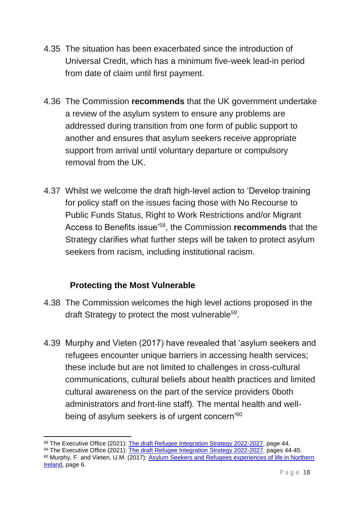- 4.35 The situation has been exacerbated since the introduction of Universal Credit, which has a minimum five-week lead-in period from date of claim until first payment.
- 4.36 The Commission **recommends** that the UK government undertake a review of the asylum system to ensure any problems are addressed during transition from one form of public support to another and ensures that asylum seekers receive appropriate support from arrival until voluntary departure or compulsory removal from the UK.
- 4.37 Whilst we welcome the draft high-level action to 'Develop training for policy staff on the issues facing those with No Recourse to Public Funds Status, Right to Work Restrictions and/or Migrant Access to Benefits issue'<sup>58</sup>, the Commission **recommends** that the Strategy clarifies what further steps will be taken to protect asylum seekers from racism, including institutional racism.

### **Protecting the Most Vulnerable**

- 4.38 The Commission welcomes the high level actions proposed in the draft Strategy to protect the most vulnerable<sup>59</sup>.
- 4.39 Murphy and Vieten (2017) have revealed that 'asylum seekers and refugees encounter unique barriers in accessing health services; these include but are not limited to challenges in cross-cultural communications, cultural beliefs about health practices and limited cultural awareness on the part of the service providers 0both administrators and front-line staff). The mental health and wellbeing of asylum seekers is of urgent concern'<sup>60</sup>

<sup>1</sup> <sup>58</sup> The Executive Office (2021): [The draft Refugee Integration Strategy 2022-2027,](https://consultations.nidirect.gov.uk/teo/refugee-integration-strategy-for-northern-ireland/supporting_documents/Refugee%20Integration%20Strategy%20%20full%20Document.pdf) page 44.

<sup>&</sup>lt;sup>59</sup> The Executive Office (2021): [The draft Refugee Integration Strategy 2022-2027,](https://consultations.nidirect.gov.uk/teo/refugee-integration-strategy-for-northern-ireland/supporting_documents/Refugee%20Integration%20Strategy%20%20full%20Document.pdf) pages 44-45. <sup>60</sup> Murphy, F. and Vieten, U.M. (2017): [Asylum Seekers and Refugees experiences of life in Northern](https://www.qub.ac.uk/home/media/Media,784971,en.pdf)  [Ireland,](https://www.qub.ac.uk/home/media/Media,784971,en.pdf) page 6.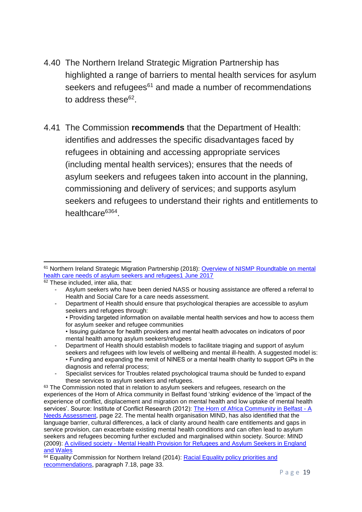- 4.40 The Northern Ireland Strategic Migration Partnership has highlighted a range of barriers to mental health services for asylum seekers and refugees<sup>61</sup> and made a number of recommendations to address these<sup>62</sup>.
- 4.41 The Commission **recommends** that the Department of Health: identifies and addresses the specific disadvantages faced by refugees in obtaining and accessing appropriate services (including mental health services); ensures that the needs of asylum seekers and refugees taken into account in the planning, commissioning and delivery of services; and supports asylum seekers and refugees to understand their rights and entitlements to healthcare<sup>6364</sup>.

<sup>1</sup> <sup>61</sup> Northern Ireland Strategic Migration Partnership (2018): [Overview of NISMP Roundtable on mental](https://www.nilga.org/media/2259/overview-of-nismp-roundtable-on-mental-health-and-asylum-seekers.pdf)  [health care needs of asylum seekers and refugees1 June 2017](https://www.nilga.org/media/2259/overview-of-nismp-roundtable-on-mental-health-and-asylum-seekers.pdf)

 $62$  These included, inter alia, that:

<sup>-</sup> Asylum seekers who have been denied NASS or housing assistance are offered a referral to Health and Social Care for a care needs assessment.

<sup>-</sup> Department of Health should ensure that psychological therapies are accessible to asylum seekers and refugees through:

<sup>•</sup> Providing targeted information on available mental health services and how to access them for asylum seeker and refugee communities

<sup>•</sup> Issuing guidance for health providers and mental health advocates on indicators of poor mental health among asylum seekers/refugees

Department of Health should establish models to facilitate triaging and support of asylum seekers and refugees with low levels of wellbeing and mental ill-health. A suggested model is: • Funding and expanding the remit of NINES or a mental health charity to support GPs in the diagnosis and referral process;

<sup>-</sup> Specialist services for Troubles related psychological trauma should be funded to expand these services to asylum seekers and refugees.

<sup>&</sup>lt;sup>63</sup> The Commission noted that in relation to asylum seekers and refugees, research on the experiences of the Horn of Africa community in Belfast found 'striking' evidence of the 'impact of the experience of conflict, displacement and migration on mental health and low uptake of mental health services'. Source: Institute of Conflict Research (2012): [The Horn of Africa Community in Belfast -](https://hapani.org/site/wp-content/uploads/2020/03/The-Horn-of-Africa-Community-in-Belfast-A-Needs-Assessment-April-2012.compressed.pdf) A [Needs Assessment,](https://hapani.org/site/wp-content/uploads/2020/03/The-Horn-of-Africa-Community-in-Belfast-A-Needs-Assessment-April-2012.compressed.pdf) page 22. The mental health organisation MIND, has also identified that the language barrier, cultural differences, a lack of clarity around health care entitlements and gaps in service provision, can exacerbate existing mental health conditions and can often lead to asylum seekers and refugees becoming further excluded and marginalised within society. Source: MIND (2009): A civilised society - [Mental Health Provision for Refugees and Asylum Seekers in England](https://www.mind.org.uk/media-a/4399/a-civilised-society.pdf)  [and Wales](https://www.mind.org.uk/media-a/4399/a-civilised-society.pdf)

 $64$  Equality Commission for Northern Ireland (2014): Racial Equality policy priorities and [recommendations,](https://www.equalityni.org/ECNI/media/ECNI/Publications/Delivering%20Equality/RacialEquality_PolicyPosition2014.pdf) paragraph 7.18, page 33.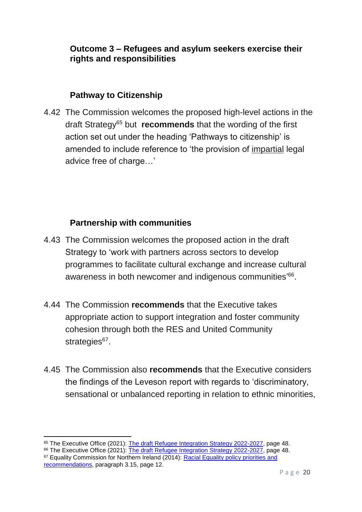#### **Outcome 3 – Refugees and asylum seekers exercise their rights and responsibilities**

#### **Pathway to Citizenship**

4.42 The Commission welcomes the proposed high-level actions in the draft Strategy<sup>65</sup> but **recommends** that the wording of the first action set out under the heading 'Pathways to citizenship' is amended to include reference to 'the provision of impartial legal advice free of charge…'

#### **Partnership with communities**

- 4.43 The Commission welcomes the proposed action in the draft Strategy to 'work with partners across sectors to develop programmes to facilitate cultural exchange and increase cultural awareness in both newcomer and indigenous communities'<sup>66</sup>.
- 4.44 The Commission **recommends** that the Executive takes appropriate action to support integration and foster community cohesion through both the RES and United Community strategies<sup>67</sup>.
- 4.45 The Commission also **recommends** that the Executive considers the findings of the Leveson report with regards to 'discriminatory, sensational or unbalanced reporting in relation to ethnic minorities,

1

<sup>65</sup> The Executive Office (2021): [The draft Refugee Integration Strategy 2022-2027,](https://consultations.nidirect.gov.uk/teo/refugee-integration-strategy-for-northern-ireland/supporting_documents/Refugee%20Integration%20Strategy%20%20full%20Document.pdf) page 48.

<sup>&</sup>lt;sup>66</sup> The Executive Office (2021): [The draft Refugee Integration Strategy 2022-2027,](https://consultations.nidirect.gov.uk/teo/refugee-integration-strategy-for-northern-ireland/supporting_documents/Refugee%20Integration%20Strategy%20%20full%20Document.pdf) page 48. <sup>67</sup> Equality Commission for Northern Ireland (2014): Racial Equality policy priorities and [recommendations,](https://www.equalityni.org/ECNI/media/ECNI/Publications/Delivering%20Equality/RacialEquality_PolicyPosition2014.pdf) paragraph 3.15, page 12.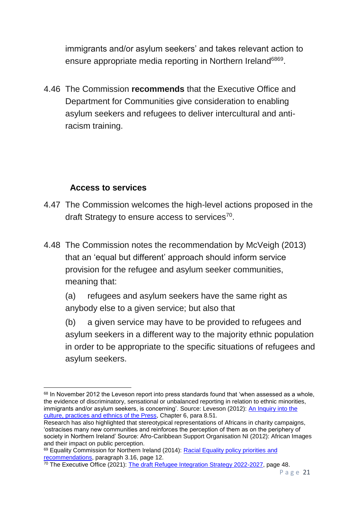immigrants and/or asylum seekers' and takes relevant action to ensure appropriate media reporting in Northern Ireland<sup>6869</sup>.

4.46 The Commission **recommends** that the Executive Office and Department for Communities give consideration to enabling asylum seekers and refugees to deliver intercultural and antiracism training.

### **Access to services**

- 4.47 The Commission welcomes the high-level actions proposed in the draft Strategy to ensure access to services $70$ .
- 4.48 The Commission notes the recommendation by McVeigh (2013) that an 'equal but different' approach should inform service provision for the refugee and asylum seeker communities, meaning that:

(a) refugees and asylum seekers have the same right as anybody else to a given service; but also that

(b) a given service may have to be provided to refugees and asylum seekers in a different way to the majority ethnic population in order to be appropriate to the specific situations of refugees and asylum seekers.

<sup>1</sup> <sup>68</sup> In November 2012 the Leveson report into press standards found that 'when assessed as a whole, the evidence of discriminatory, sensational or unbalanced reporting in relation to ethnic minorities, immigrants and/or asylum seekers, is concerning'. Source: Leveson (2012): An Inquiry into the [culture, practices and ethnics of the Press,](https://assets.publishing.service.gov.uk/government/uploads/system/uploads/attachment_data/file/270941/0780_ii.pdf) Chapter 6, para 8.51.

Research has also highlighted that stereotypical representations of Africans in charity campaigns, 'ostracises many new communities and reinforces the perception of them as on the periphery of society in Northern Ireland' Source: Afro-Caribbean Support Organisation NI (2012): African Images and their impact on public perception.

<sup>&</sup>lt;sup>69</sup> Equality Commission for Northern Ireland (2014): Racial Equality policy priorities and [recommendations,](https://www.equalityni.org/ECNI/media/ECNI/Publications/Delivering%20Equality/RacialEquality_PolicyPosition2014.pdf) paragraph 3.16, page 12.

<sup>&</sup>lt;sup>70</sup> The Executive Office (2021): [The draft Refugee Integration Strategy 2022-2027,](https://consultations.nidirect.gov.uk/teo/refugee-integration-strategy-for-northern-ireland/supporting_documents/Refugee%20Integration%20Strategy%20%20full%20Document.pdf) page 48.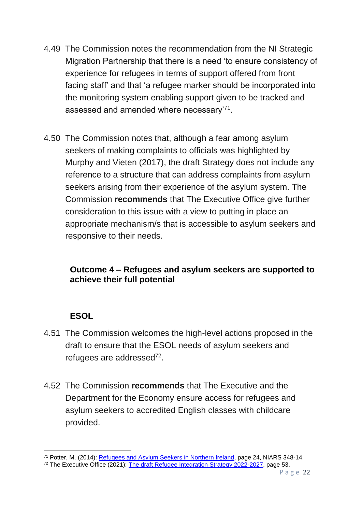- 4.49 The Commission notes the recommendation from the NI Strategic Migration Partnership that there is a need 'to ensure consistency of experience for refugees in terms of support offered from front facing staff' and that 'a refugee marker should be incorporated into the monitoring system enabling support given to be tracked and assessed and amended where necessary'<sup>71</sup>.
- 4.50 The Commission notes that, although a fear among asylum seekers of making complaints to officials was highlighted by Murphy and Vieten (2017), the draft Strategy does not include any reference to a structure that can address complaints from asylum seekers arising from their experience of the asylum system. The Commission **recommends** that The Executive Office give further consideration to this issue with a view to putting in place an appropriate mechanism/s that is accessible to asylum seekers and responsive to their needs.

### **Outcome 4 – Refugees and asylum seekers are supported to achieve their full potential**

## **ESOL**

- 4.51 The Commission welcomes the high-level actions proposed in the draft to ensure that the ESOL needs of asylum seekers and refugees are addressed<sup>72</sup>.
- 4.52 The Commission **recommends** that The Executive and the Department for the Economy ensure access for refugees and asylum seekers to accredited English classes with childcare provided.

**<sup>.</sup>** <sup>71</sup> Potter, M. (2014): [Refugees and Asylum Seekers in Northern Ireland,](http://www.niassembly.gov.uk/globalassets/documents/raise/publications/2014/ofmdfm/6314.pdf) page 24, NIARS 348-14.

<sup>72</sup> The Executive Office (2021): [The draft Refugee Integration Strategy 2022-2027,](https://consultations.nidirect.gov.uk/teo/refugee-integration-strategy-for-northern-ireland/supporting_documents/Refugee%20Integration%20Strategy%20%20full%20Document.pdf) page 53.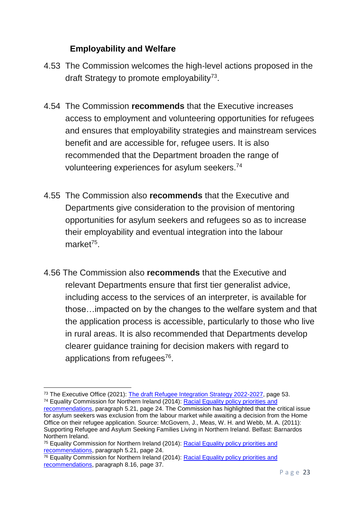### **Employability and Welfare**

- 4.53 The Commission welcomes the high-level actions proposed in the draft Strategy to promote employability<sup>73</sup>.
- 4.54 The Commission **recommends** that the Executive increases access to employment and volunteering opportunities for refugees and ensures that employability strategies and mainstream services benefit and are accessible for, refugee users. It is also recommended that the Department broaden the range of volunteering experiences for asylum seekers.<sup>74</sup>
- 4.55 The Commission also **recommends** that the Executive and Departments give consideration to the provision of mentoring opportunities for asylum seekers and refugees so as to increase their employability and eventual integration into the labour market<sup>75</sup>.
- 4.56 The Commission also **recommends** that the Executive and relevant Departments ensure that first tier generalist advice, including access to the services of an interpreter, is available for those…impacted on by the changes to the welfare system and that the application process is accessible, particularly to those who live in rural areas. It is also recommended that Departments develop clearer guidance training for decision makers with regard to applications from refugees<sup>76</sup>.

<sup>1</sup> <sup>73</sup> The Executive Office (2021): [The draft Refugee Integration Strategy 2022-2027,](https://consultations.nidirect.gov.uk/teo/refugee-integration-strategy-for-northern-ireland/supporting_documents/Refugee%20Integration%20Strategy%20%20full%20Document.pdf) page 53. <sup>74</sup> Equality Commission for Northern Ireland (2014): [Racial Equality policy priorities and](https://www.equalityni.org/ECNI/media/ECNI/Publications/Delivering%20Equality/RacialEquality_PolicyPosition2014.pdf) 

[recommendations,](https://www.equalityni.org/ECNI/media/ECNI/Publications/Delivering%20Equality/RacialEquality_PolicyPosition2014.pdf) paragraph 5.21, page 24. The Commission has highlighted that the critical issue for asylum seekers was exclusion from the labour market while awaiting a decision from the Home Office on their refugee application. Source: McGovern, J., Meas, W. H. and Webb, M. A. (2011): Supporting Refugee and Asylum Seeking Families Living in Northern Ireland. Belfast: Barnardos Northern Ireland.

<sup>&</sup>lt;sup>75</sup> Equality Commission for Northern Ireland (2014): Racial Equality policy priorities and [recommendations,](https://www.equalityni.org/ECNI/media/ECNI/Publications/Delivering%20Equality/RacialEquality_PolicyPosition2014.pdf) paragraph 5.21, page 24.

 $\frac{76}{6}$  Equality Commission for Northern Ireland (2014): Racial Equality policy priorities and [recommendations,](https://www.equalityni.org/ECNI/media/ECNI/Publications/Delivering%20Equality/RacialEquality_PolicyPosition2014.pdf) paragraph 8.16, page 37.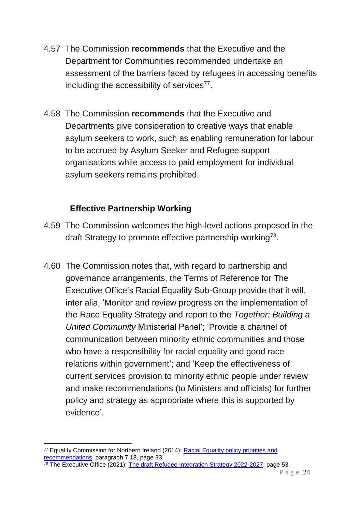- 4.57 The Commission **recommends** that the Executive and the Department for Communities recommended undertake an assessment of the barriers faced by refugees in accessing benefits including the accessibility of services $77$ .
- 4.58 The Commission **recommends** that the Executive and Departments give consideration to creative ways that enable asylum seekers to work, such as enabling remuneration for labour to be accrued by Asylum Seeker and Refugee support organisations while access to paid employment for individual asylum seekers remains prohibited.

## **Effective Partnership Working**

- 4.59 The Commission welcomes the high-level actions proposed in the draft Strategy to promote effective partnership working<sup>78</sup>.
- 4.60 The Commission notes that, with regard to partnership and governance arrangements, the Terms of Reference for The Executive Office's Racial Equality Sub-Group provide that it will, inter alia, 'Monitor and review progress on the implementation of the Race Equality Strategy and report to the *Together: Building a United Community* Ministerial Panel'; 'Provide a channel of communication between minority ethnic communities and those who have a responsibility for racial equality and good race relations within government'; and 'Keep the effectiveness of current services provision to minority ethnic people under review and make recommendations (to Ministers and officials) for further policy and strategy as appropriate where this is supported by evidence'.

 $\frac{78}{78}$  The Executive Office (2021): [The draft Refugee Integration Strategy 2022-2027,](https://consultations.nidirect.gov.uk/teo/refugee-integration-strategy-for-northern-ireland/supporting_documents/Refugee%20Integration%20Strategy%20%20full%20Document.pdf) page 53.

**<sup>.</sup>** <sup>77</sup> Equality Commission for Northern Ireland (2014): [Racial Equality policy priorities and](https://www.equalityni.org/ECNI/media/ECNI/Publications/Delivering%20Equality/RacialEquality_PolicyPosition2014.pdf)  [recommendations,](https://www.equalityni.org/ECNI/media/ECNI/Publications/Delivering%20Equality/RacialEquality_PolicyPosition2014.pdf) paragraph 7.18, page 33.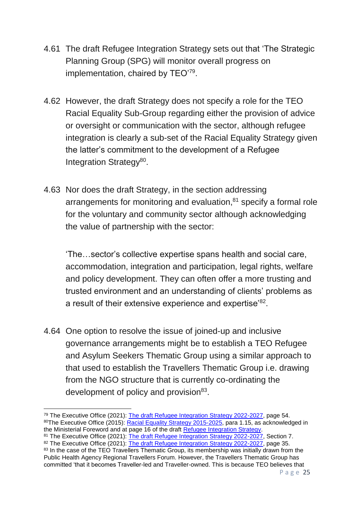- 4.61 The draft Refugee Integration Strategy sets out that 'The Strategic Planning Group (SPG) will monitor overall progress on implementation, chaired by TEO'79.
- 4.62 However, the draft Strategy does not specify a role for the TEO Racial Equality Sub-Group regarding either the provision of advice or oversight or communication with the sector, although refugee integration is clearly a sub-set of the Racial Equality Strategy given the latter's commitment to the development of a Refugee Integration Strategy<sup>80</sup>.
- 4.63 Nor does the draft Strategy, in the section addressing arrangements for monitoring and evaluation,<sup>81</sup> specify a formal role for the voluntary and community sector although acknowledging the value of partnership with the sector:

'The…sector's collective expertise spans health and social care, accommodation, integration and participation, legal rights, welfare and policy development. They can often offer a more trusting and trusted environment and an understanding of clients' problems as a result of their extensive experience and expertise'<sup>82</sup>.

4.64 One option to resolve the issue of joined-up and inclusive governance arrangements might be to establish a TEO Refugee and Asylum Seekers Thematic Group using a similar approach to that used to establish the Travellers Thematic Group i.e. drawing from the NGO structure that is currently co-ordinating the development of policy and provision<sup>83</sup>.

<sup>81</sup> The Executive Office (2021): [The draft Refugee Integration Strategy 2022-2027,](https://consultations.nidirect.gov.uk/teo/refugee-integration-strategy-for-northern-ireland/supporting_documents/Refugee%20Integration%20Strategy%20%20full%20Document.pdf) Section 7.

**<sup>.</sup>** <sup>79</sup> The Executive Office (2021): [The draft Refugee Integration Strategy 2022-2027,](https://consultations.nidirect.gov.uk/teo/refugee-integration-strategy-for-northern-ireland/supporting_documents/Refugee%20Integration%20Strategy%20%20full%20Document.pdf) page 54. 80The Executive Office (2015): [Racial Equality Strategy 2015-2025,](https://www.executiveoffice-ni.gov.uk/sites/default/files/publications/ofmdfm/racial-equality-strategy-2015-2025.pdf) para 1.15, as acknowledged in the Ministerial Foreword and at page 16 of the draft [Refugee Integration Strategy.](https://consultations.nidirect.gov.uk/teo/refugee-integration-strategy-for-northern-ireland/supporting_documents/Refugee%20Integration%20Strategy%20%20full%20Document.pdf)

<sup>82</sup> The Executive Office (2021): [The draft Refugee Integration Strategy 2022-2027,](https://consultations.nidirect.gov.uk/teo/refugee-integration-strategy-for-northern-ireland/supporting_documents/Refugee%20Integration%20Strategy%20%20full%20Document.pdf) page 35. <sup>83</sup> In the case of the TEO Travellers Thematic Group, its membership was initially drawn from the Public Health Agency Regional Travellers Forum. However, the Travellers Thematic Group has committed 'that it becomes Traveller-led and Traveller-owned. This is because TEO believes that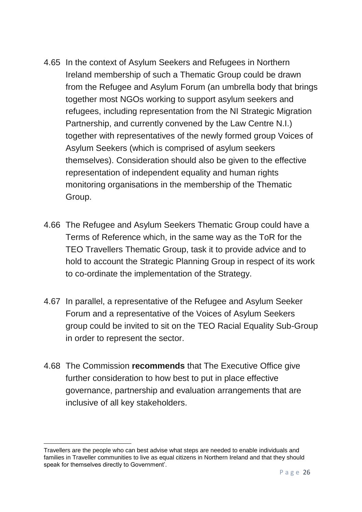- 4.65 In the context of Asylum Seekers and Refugees in Northern Ireland membership of such a Thematic Group could be drawn from the Refugee and Asylum Forum (an umbrella body that brings together most NGOs working to support asylum seekers and refugees, including representation from the NI Strategic Migration Partnership, and currently convened by the Law Centre N.I.) together with representatives of the newly formed group Voices of Asylum Seekers (which is comprised of asylum seekers themselves). Consideration should also be given to the effective representation of independent equality and human rights monitoring organisations in the membership of the Thematic Group.
- 4.66 The Refugee and Asylum Seekers Thematic Group could have a Terms of Reference which, in the same way as the ToR for the TEO Travellers Thematic Group, task it to provide advice and to hold to account the Strategic Planning Group in respect of its work to co-ordinate the implementation of the Strategy.
- 4.67 In parallel, a representative of the Refugee and Asylum Seeker Forum and a representative of the Voices of Asylum Seekers group could be invited to sit on the TEO Racial Equality Sub-Group in order to represent the sector.
- 4.68 The Commission **recommends** that The Executive Office give further consideration to how best to put in place effective governance, partnership and evaluation arrangements that are inclusive of all key stakeholders.

Travellers are the people who can best advise what steps are needed to enable individuals and families in Traveller communities to live as equal citizens in Northern Ireland and that they should speak for themselves directly to Government'.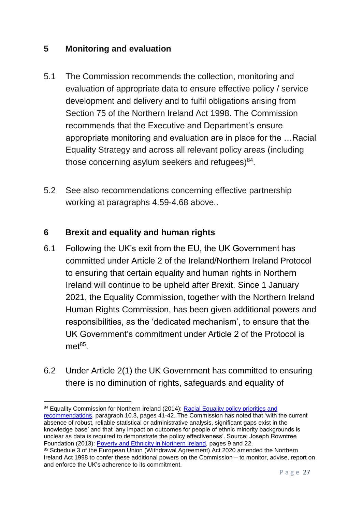#### **5 Monitoring and evaluation**

- 5.1 The Commission recommends the collection, monitoring and evaluation of appropriate data to ensure effective policy / service development and delivery and to fulfil obligations arising from Section 75 of the Northern Ireland Act 1998. The Commission recommends that the Executive and Department's ensure appropriate monitoring and evaluation are in place for the …Racial Equality Strategy and across all relevant policy areas (including those concerning asylum seekers and refugees) $84$ .
- 5.2 See also recommendations concerning effective partnership working at paragraphs 4.59-4.68 above..

### **6 Brexit and equality and human rights**

- 6.1 Following the UK's exit from the EU, the UK Government has committed under Article 2 of the Ireland/Northern Ireland Protocol to ensuring that certain equality and human rights in Northern Ireland will continue to be upheld after Brexit. Since 1 January 2021, the Equality Commission, together with the Northern Ireland Human Rights Commission, has been given additional powers and responsibilities, as the 'dedicated mechanism', to ensure that the UK Government's commitment under Article 2 of the Protocol is  $met^{85}$ .
- 6.2 Under Article 2(1) the UK Government has committed to ensuring there is no diminution of rights, safeguards and equality of

**<sup>.</sup>** 84 Equality Commission for Northern Ireland (2014): Racial Equality policy priorities and [recommendations,](https://www.equalityni.org/ECNI/media/ECNI/Publications/Delivering%20Equality/RacialEquality_PolicyPosition2014.pdf) paragraph 10.3, pages 41-42. The Commission has noted that 'with the current absence of robust, reliable statistical or administrative analysis, significant gaps exist in the knowledge base' and that 'any impact on outcomes for people of ethnic minority backgrounds is unclear as data is required to demonstrate the policy effectiveness'. Source: Joseph Rowntree Foundation (2013): [Poverty and Ethnicity in Northern Ireland,](https://www.jrf.org.uk/report/poverty-and-ethnicity-northern-ireland) pages 9 and 22.

<sup>85</sup> Schedule 3 of the European Union (Withdrawal Agreement) Act 2020 amended the Northern Ireland Act 1998 to confer these additional powers on the Commission – to monitor, advise, report on and enforce the UK's adherence to its commitment.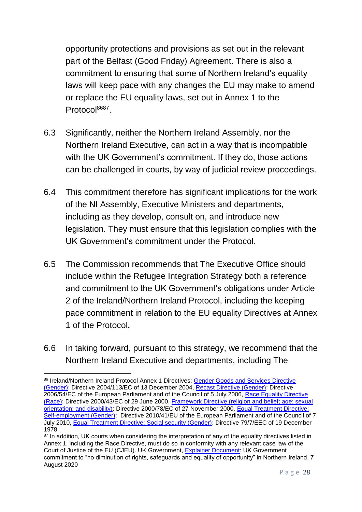opportunity protections and provisions as set out in the relevant part of the Belfast (Good Friday) Agreement. There is also a commitment to ensuring that some of Northern Ireland's equality laws will keep pace with any changes the EU may make to amend or replace the EU equality laws, set out in Annex 1 to the Protocol<sup>8687</sup>.

- 6.3 Significantly, neither the Northern Ireland Assembly, nor the Northern Ireland Executive, can act in a way that is incompatible with the UK Government's commitment. If they do, those actions can be challenged in courts, by way of judicial review proceedings.
- 6.4 This commitment therefore has significant implications for the work of the NI Assembly, Executive Ministers and departments, including as they develop, consult on, and introduce new legislation. They must ensure that this legislation complies with the UK Government's commitment under the Protocol.
- 6.5 The Commission recommends that The Executive Office should include within the Refugee Integration Strategy both a reference and commitment to the UK Government's obligations under Article 2 of the Ireland/Northern Ireland Protocol, including the keeping pace commitment in relation to the EU equality Directives at Annex 1 of the Protocol**.**
- 6.6 In taking forward, pursuant to this strategy, we recommend that the Northern Ireland Executive and departments, including The

<sup>1</sup> 86 Ireland/Northern Ireland Protocol Annex 1 Directives: Gender Goods and Services Directive [\(Gender\):](https://eur-lex.europa.eu/legal-content/EN/TXT/?uri=celex%3A32004L0113) Directive 2004/113/EC of 13 December 2004, [Recast Directive \(Gender\):](https://eur-lex.europa.eu/legal-content/EN/TXT/?uri=celex%3A32006L0054) Directive 2006/54/EC of the European Parliament and of the Council of 5 July 2006, Race Equality Directive [\(Race\):](https://eur-lex.europa.eu/legal-content/EN/TXT/?uri=CELEX%3A32000L0043) Directive 2000/43/EC of 29 June 2000, [Framework Directive \(religion and belief; age; sexual](https://eur-lex.europa.eu/legal-content/EN/TXT/HTML/?uri=CELEX:32000L0078&from=EN)  [orientation; and disability\):](https://eur-lex.europa.eu/legal-content/EN/TXT/HTML/?uri=CELEX:32000L0078&from=EN) Directive 2000/78/EC of 27 November 2000, [Equal Treatment Directive:](https://eur-lex.europa.eu/legal-content/EN/TXT/?uri=celex%3A32010L0041)  [Self-employment \(Gender\):](https://eur-lex.europa.eu/legal-content/EN/TXT/?uri=celex%3A32010L0041) Directive 2010/41/EU of the European Parliament and of the Council of 7 July 2010, [Equal Treatment Directive: Social security \(Gender\):](https://eur-lex.europa.eu/legal-content/EN/ALL/?uri=celex%3A31979L0007) Directive 79/7/EEC of 19 December 1978.

<sup>&</sup>lt;sup>87</sup> In addition, UK courts when considering the interpretation of any of the equality directives listed in Annex 1, including the Race Directive, must do so in conformity with any relevant case law of the Court of Justice of the EU (CJEU). UK Government, [Explainer Document:](https://www.gov.uk/government/publications/protocol-on-irelandnorthern-ireland-article-2) UK Government commitment to "no diminution of rights, safeguards and equality of opportunity" in Northern Ireland, 7 August 2020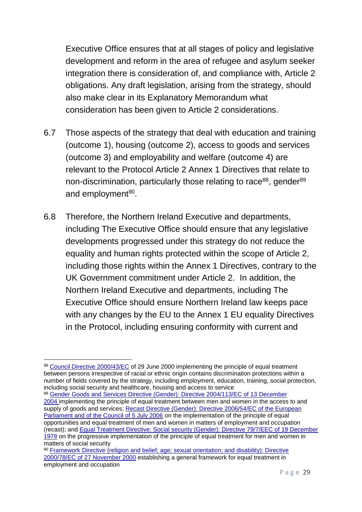Executive Office ensures that at all stages of policy and legislative development and reform in the area of refugee and asylum seeker integration there is consideration of, and compliance with, Article 2 obligations. Any draft legislation, arising from the strategy, should also make clear in its Explanatory Memorandum what consideration has been given to Article 2 considerations.

- 6.7 Those aspects of the strategy that deal with education and training (outcome 1), housing (outcome 2), access to goods and services (outcome 3) and employability and welfare (outcome 4) are relevant to the Protocol Article 2 Annex 1 Directives that relate to non-discrimination, particularly those relating to race<sup>88</sup>, gender<sup>89</sup> and employment<sup>90</sup>.
- 6.8 Therefore, the Northern Ireland Executive and departments, including The Executive Office should ensure that any legislative developments progressed under this strategy do not reduce the equality and human rights protected within the scope of Article 2, including those rights within the Annex 1 Directives, contrary to the UK Government commitment under Article 2. In addition, the Northern Ireland Executive and departments, including The Executive Office should ensure Northern Ireland law keeps pace with any changes by the EU to the Annex 1 EU equality Directives in the Protocol, including ensuring conformity with current and

**.** 

<sup>89</sup> [Gender Goods and Services Directive \(Gender\): Directive 2004/113/EC of 13 December](https://eur-lex.europa.eu/legal-content/EN/TXT/?uri=celex%3A32004L0113)  [2004](https://eur-lex.europa.eu/legal-content/EN/TXT/?uri=celex%3A32004L0113) implementing the principle of equal treatment between men and women in the access to and supply of goods and services; Recast Directive (Gender): Directive 2006/54/EC of the European [Parliament and of the Council of 5 July 2006](https://eur-lex.europa.eu/legal-content/EN/TXT/?uri=celex%3A32006L0054) on the implementation of the principle of equal opportunities and equal treatment of men and women in matters of employment and occupation (recast); and [Equal Treatment Directive: Social security \(Gender\): Directive 79/7/EEC of 19 December](https://eur-lex.europa.eu/legal-content/EN/ALL/?uri=celex%3A31979L0007)  [1978](https://eur-lex.europa.eu/legal-content/EN/ALL/?uri=celex%3A31979L0007) on the progressive implementation of the principle of equal treatment for men and women in matters of social security

<sup>88</sup> [Council Directive 2000/43/EC](https://eur-lex.europa.eu/legal-content/EN/TXT/?uri=celex%3A32000L0043) of 29 June 2000 implementing the principle of equal treatment between persons irrespective of racial or ethnic origin contains discrimination protections within a number of fields covered by the strategy, including employment, education, training, social protection, including social security and healthcare, housing and access to service

<sup>90</sup> Framework Directive (religion and belief; age; sexual orientation; and disability): Directive [2000/78/EC of 27 November 2000](https://eur-lex.europa.eu/legal-content/EN/TXT/HTML/?uri=CELEX:32000L0078&from=EN) establishing a general framework for equal treatment in employment and occupation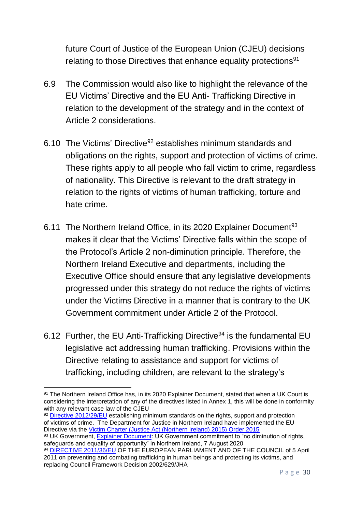future Court of Justice of the European Union (CJEU) decisions relating to those Directives that enhance equality protections<sup>91</sup>

- 6.9 The Commission would also like to highlight the relevance of the EU Victims' Directive and the EU Anti- Trafficking Directive in relation to the development of the strategy and in the context of Article 2 considerations.
- 6.10 The Victims' Directive<sup>92</sup> establishes minimum standards and obligations on the rights, support and protection of victims of crime. These rights apply to all people who fall victim to crime, regardless of nationality. This Directive is relevant to the draft strategy in relation to the rights of victims of human trafficking, torture and hate crime.
- 6.11 The Northern Ireland Office, in its 2020 Explainer Document<sup>93</sup> makes it clear that the Victims' Directive falls within the scope of the Protocol's Article 2 non-diminution principle. Therefore, the Northern Ireland Executive and departments, including the Executive Office should ensure that any legislative developments progressed under this strategy do not reduce the rights of victims under the Victims Directive in a manner that is contrary to the UK Government commitment under Article 2 of the Protocol.
- 6.12 Further, the EU Anti-Trafficking Directive<sup>94</sup> is the fundamental EU legislative act addressing human trafficking. Provisions within the Directive relating to assistance and support for victims of trafficking, including children, are relevant to the strategy's

92 [Directive 2012/29/EU](https://eur-lex.europa.eu/legal-content/EN/TXT/?uri=celex%3A32012L0029) establishing minimum standards on the rights, support and protection of victims of crime. The Department for Justice in Northern Ireland have implemented the EU Directive via the [Victim Charter \(Justice Act \(Northern Ireland\) 2015\) Order 2015](https://www.gov.uk/government/publications/criminal-investigation/hmrc-responsibilities-for-standards-on-the-rights-support-and-protections-of-victims-of-crime-eu-victims-directive-201229eu)

93 UK Government, [Explainer Document:](https://www.gov.uk/government/publications/protocol-on-irelandnorthern-ireland-article-2) UK Government commitment to "no diminution of rights, safeguards and equality of opportunity" in Northern Ireland, 7 August 2020

<sup>1</sup> 91 The Northern Ireland Office has, in its 2020 Explainer Document, stated that when a UK Court is considering the interpretation of any of the directives listed in Annex 1, this will be done in conformity with any relevant case law of the CJEU

<sup>&</sup>lt;sup>94</sup> [DIRECTIVE 2011/36/EU](https://eur-lex.europa.eu/legal-content/en/TXT/?uri=CELEX%3A32011L0036) OF THE EUROPEAN PARLIAMENT AND OF THE COUNCIL of 5 April 2011 on preventing and combating trafficking in human beings and protecting its victims, and replacing Council Framework Decision 2002/629/JHA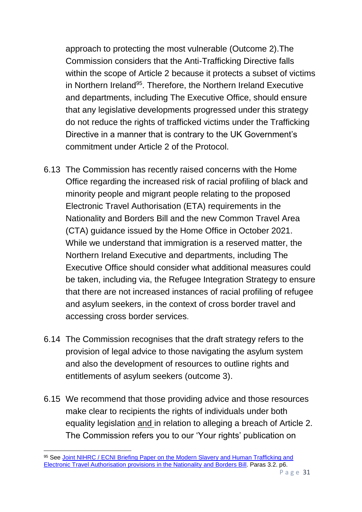approach to protecting the most vulnerable (Outcome 2).The Commission considers that the Anti-Trafficking Directive falls within the scope of Article 2 because it protects a subset of victims in Northern Ireland<sup>95</sup>. Therefore, the Northern Ireland Executive and departments, including The Executive Office, should ensure that any legislative developments progressed under this strategy do not reduce the rights of trafficked victims under the Trafficking Directive in a manner that is contrary to the UK Government's commitment under Article 2 of the Protocol.

- 6.13 The Commission has recently raised concerns with the Home Office regarding the increased risk of racial profiling of black and minority people and migrant people relating to the proposed Electronic Travel Authorisation (ETA) requirements in the Nationality and Borders Bill and the new Common Travel Area (CTA) guidance issued by the Home Office in October 2021. While we understand that immigration is a reserved matter, the Northern Ireland Executive and departments, including The Executive Office should consider what additional measures could be taken, including via, the Refugee Integration Strategy to ensure that there are not increased instances of racial profiling of refugee and asylum seekers, in the context of cross border travel and accessing cross border services.
- 6.14 The Commission recognises that the draft strategy refers to the provision of legal advice to those navigating the asylum system and also the development of resources to outline rights and entitlements of asylum seekers (outcome 3).
- 6.15 We recommend that those providing advice and those resources make clear to recipients the rights of individuals under both equality legislation and in relation to alleging a breach of Article 2. The Commission refers you to our 'Your rights' publication on

**<sup>.</sup>** 95 See Joint NIHRC / ECNI Briefing Paper on the Modern Slavery and Human Trafficking and [Electronic Travel Authorisation provisions in the Nationality](https://www.equalityni.org/ECNI/media/ECNI/Publications/Delivering%20Equality/DMU/DMU-HoLSubmission-NationalityBordersBill.pdf?ext=.pdf) and Borders Bill. Paras 3.2. p6.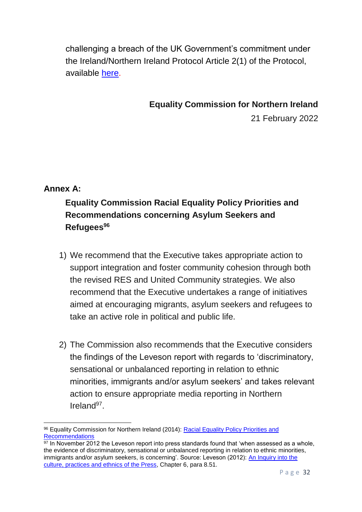challenging a breach of the UK Government's commitment under the Ireland/Northern Ireland Protocol Article 2(1) of the Protocol, available [here.](https://www.equalityni.org/brexit)

**Equality Commission for Northern Ireland**

21 February 2022

## **Annex A:**

**.** 

# **Equality Commission Racial Equality Policy Priorities and Recommendations concerning Asylum Seekers and Refugees<sup>96</sup>**

- 1) We recommend that the Executive takes appropriate action to support integration and foster community cohesion through both the revised RES and United Community strategies. We also recommend that the Executive undertakes a range of initiatives aimed at encouraging migrants, asylum seekers and refugees to take an active role in political and public life.
- 2) The Commission also recommends that the Executive considers the findings of the Leveson report with regards to 'discriminatory, sensational or unbalanced reporting in relation to ethnic minorities, immigrants and/or asylum seekers' and takes relevant action to ensure appropriate media reporting in Northern Ireland<sup>97</sup>.

<sup>96</sup> Equality Commission for Northern Ireland (2014): Racial Equality Policy Priorities and [Recommendations](https://www.equalityni.org/ECNI/media/ECNI/Publications/Delivering%20Equality/RacialEquality_PolicyPosition2014.pdf)

 $\frac{97}{97}$  In November 2012 the Leveson report into press standards found that 'when assessed as a whole, the evidence of discriminatory, sensational or unbalanced reporting in relation to ethnic minorities, immigrants and/or asylum seekers, is concerning'. Source: Leveson (2012): [An Inquiry into the](https://assets.publishing.service.gov.uk/government/uploads/system/uploads/attachment_data/file/270941/0780_ii.pdf)  [culture, practices and ethnics of the Press,](https://assets.publishing.service.gov.uk/government/uploads/system/uploads/attachment_data/file/270941/0780_ii.pdf) Chapter 6, para 8.51.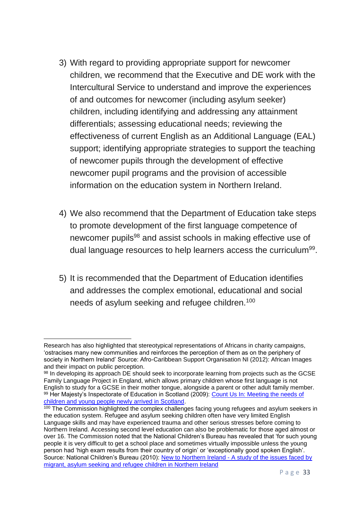- 3) With regard to providing appropriate support for newcomer children, we recommend that the Executive and DE work with the Intercultural Service to understand and improve the experiences of and outcomes for newcomer (including asylum seeker) children, including identifying and addressing any attainment differentials; assessing educational needs; reviewing the effectiveness of current English as an Additional Language (EAL) support; identifying appropriate strategies to support the teaching of newcomer pupils through the development of effective newcomer pupil programs and the provision of accessible information on the education system in Northern Ireland.
- 4) We also recommend that the Department of Education take steps to promote development of the first language competence of newcomer pupils<sup>98</sup> and assist schools in making effective use of dual language resources to help learners access the curriculum<sup>99</sup>.
- 5) It is recommended that the Department of Education identifies and addresses the complex emotional, educational and social needs of asylum seeking and refugee children.<sup>100</sup>

Research has also highlighted that stereotypical representations of Africans in charity campaigns, 'ostracises many new communities and reinforces the perception of them as on the periphery of society in Northern Ireland' Source: Afro-Caribbean Support Organisation NI (2012): African Images and their impact on public perception.

<sup>98</sup> In developing its approach DE should seek to incorporate learning from projects such as the GCSE Family Language Project in England, which allows primary children whose first language is not English to study for a GCSE in their mother tongue, alongside a parent or other adult family member. 99 Her Majesty's Inspectorate of Education in Scotland (2009): Count Us In: Meeting the needs of [children and young people newly arrived in Scotland.](https://www.naldic.org.uk/Resources/NALDIC/Teaching%20and%20Learning/cuimnnus_tcm4-618947.pdf)

<sup>&</sup>lt;sup>100</sup> The Commission highlighted the complex challenges facing young refugees and asylum seekers in the education system. Refugee and asylum seeking children often have very limited English Language skills and may have experienced trauma and other serious stresses before coming to Northern Ireland. Accessing second level education can also be problematic for those aged almost or over 16. The Commission noted that the National Children's Bureau has revealed that 'for such young people it is very difficult to get a school place and sometimes virtually impossible unless the young person had 'high exam results from their country of origin' or 'exceptionally good spoken English'. Source: National Children's Bureau (2010): New to Northern Ireland - [A study of the issues faced by](https://www.ncb.org.uk/sites/default/files/uploads/files/17%2520ntni_web_final.pdf)  [migrant, asylum seeking and refugee](https://www.ncb.org.uk/sites/default/files/uploads/files/17%2520ntni_web_final.pdf) children in Northern Ireland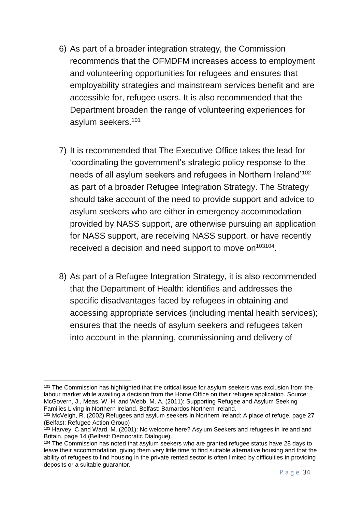- 6) As part of a broader integration strategy, the Commission recommends that the OFMDFM increases access to employment and volunteering opportunities for refugees and ensures that employability strategies and mainstream services benefit and are accessible for, refugee users. It is also recommended that the Department broaden the range of volunteering experiences for asylum seekers.<sup>101</sup>
- 7) It is recommended that The Executive Office takes the lead for 'coordinating the government's strategic policy response to the needs of all asylum seekers and refugees in Northern Ireland'<sup>102</sup> as part of a broader Refugee Integration Strategy. The Strategy should take account of the need to provide support and advice to asylum seekers who are either in emergency accommodation provided by NASS support, are otherwise pursuing an application for NASS support, are receiving NASS support, or have recently received a decision and need support to move on $103104$ .
- 8) As part of a Refugee Integration Strategy, it is also recommended that the Department of Health: identifies and addresses the specific disadvantages faced by refugees in obtaining and accessing appropriate services (including mental health services); ensures that the needs of asylum seekers and refugees taken into account in the planning, commissioning and delivery of

<sup>&</sup>lt;sup>101</sup> The Commission has highlighted that the critical issue for asylum seekers was exclusion from the labour market while awaiting a decision from the Home Office on their refugee application. Source: McGovern, J., Meas, W. H. and Webb, M. A. (2011): Supporting Refugee and Asylum Seeking Families Living in Northern Ireland. Belfast: Barnardos Northern Ireland.

<sup>102</sup> McVeigh, R. (2002) Refugees and asylum seekers in Northern Ireland: A place of refuge, page 27 (Belfast: Refugee Action Group)

 $103$  Harvey, C and Ward, M. (2001): No welcome here? Asylum Seekers and refugees in Ireland and Britain, page 14 (Belfast: Democratic Dialogue).

<sup>&</sup>lt;sup>104</sup> The Commission has noted that asylum seekers who are granted refugee status have 28 days to leave their accommodation, giving them very little time to find suitable alternative housing and that the ability of refugees to find housing in the private rented sector is often limited by difficulties in providing deposits or a suitable guarantor.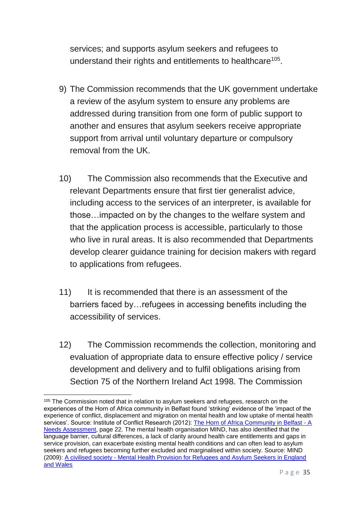services; and supports asylum seekers and refugees to understand their rights and entitlements to healthcare<sup>105</sup>.

- 9) The Commission recommends that the UK government undertake a review of the asylum system to ensure any problems are addressed during transition from one form of public support to another and ensures that asylum seekers receive appropriate support from arrival until voluntary departure or compulsory removal from the UK.
- 10) The Commission also recommends that the Executive and relevant Departments ensure that first tier generalist advice, including access to the services of an interpreter, is available for those…impacted on by the changes to the welfare system and that the application process is accessible, particularly to those who live in rural areas. It is also recommended that Departments develop clearer guidance training for decision makers with regard to applications from refugees.
- 11) It is recommended that there is an assessment of the barriers faced by…refugees in accessing benefits including the accessibility of services.
- 12) The Commission recommends the collection, monitoring and evaluation of appropriate data to ensure effective policy / service development and delivery and to fulfil obligations arising from Section 75 of the Northern Ireland Act 1998. The Commission

<sup>105</sup> The Commission noted that in relation to asylum seekers and refugees, research on the experiences of the Horn of Africa community in Belfast found 'striking' evidence of the 'impact of the experience of conflict, displacement and migration on mental health and low uptake of mental health services'. Source: Institute of Conflict Research (2012): [The Horn of Africa Community in Belfast -](https://hapani.org/site/wp-content/uploads/2020/03/The-Horn-of-Africa-Community-in-Belfast-A-Needs-Assessment-April-2012.compressed.pdf) A [Needs Assessment,](https://hapani.org/site/wp-content/uploads/2020/03/The-Horn-of-Africa-Community-in-Belfast-A-Needs-Assessment-April-2012.compressed.pdf) page 22. The mental health organisation MIND, has also identified that the language barrier, cultural differences, a lack of clarity around health care entitlements and gaps in service provision, can exacerbate existing mental health conditions and can often lead to asylum seekers and refugees becoming further excluded and marginalised within society. Source: MIND (2009): A civilised society - [Mental Health Provision for Refugees and Asylum Seekers in England](https://www.mind.org.uk/media-a/4399/a-civilised-society.pdf)  [and Wales](https://www.mind.org.uk/media-a/4399/a-civilised-society.pdf)